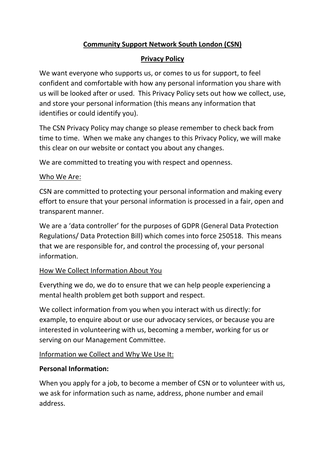# **Community Support Network South London (CSN)**

### **Privacy Policy**

We want everyone who supports us, or comes to us for support, to feel confident and comfortable with how any personal information you share with us will be looked after or used. This Privacy Policy sets out how we collect, use, and store your personal information (this means any information that identifies or could identify you).

The CSN Privacy Policy may change so please remember to check back from time to time. When we make any changes to this Privacy Policy, we will make this clear on our website or contact you about any changes.

We are committed to treating you with respect and openness.

#### Who We Are:

CSN are committed to protecting your personal information and making every effort to ensure that your personal information is processed in a fair, open and transparent manner.

We are a 'data controller' for the purposes of GDPR (General Data Protection Regulations/ Data Protection Bill) which comes into force 250518. This means that we are responsible for, and control the processing of, your personal information.

### How We Collect Information About You

Everything we do, we do to ensure that we can help people experiencing a mental health problem get both support and respect.

We collect information from you when you interact with us directly: for example, to enquire about or use our advocacy services, or because you are interested in volunteering with us, becoming a member, working for us or serving on our Management Committee.

### Information we Collect and Why We Use It:

### **Personal Information:**

When you apply for a job, to become a member of CSN or to volunteer with us, we ask for information such as name, address, phone number and email address.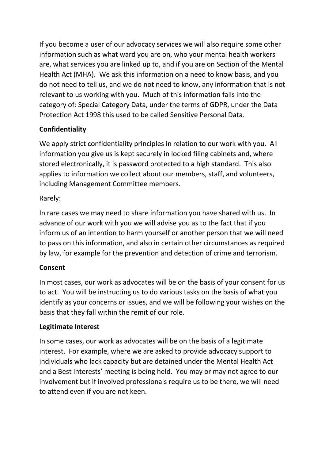If you become a user of our advocacy services we will also require some other information such as what ward you are on, who your mental health workers are, what services you are linked up to, and if you are on Section of the Mental Health Act (MHA). We ask this information on a need to know basis, and you do not need to tell us, and we do not need to know, any information that is not relevant to us working with you. Much of this information falls into the category of: Special Category Data, under the terms of GDPR, under the Data Protection Act 1998 this used to be called Sensitive Personal Data.

# **Confidentiality**

We apply strict confidentiality principles in relation to our work with you. All information you give us is kept securely in locked filing cabinets and, where stored electronically, it is password protected to a high standard. This also applies to information we collect about our members, staff, and volunteers, including Management Committee members.

### Rarely:

In rare cases we may need to share information you have shared with us. In advance of our work with you we will advise you as to the fact that if you inform us of an intention to harm yourself or another person that we will need to pass on this information, and also in certain other circumstances as required by law, for example for the prevention and detection of crime and terrorism.

# **Consent**

In most cases, our work as advocates will be on the basis of your consent for us to act. You will be instructing us to do various tasks on the basis of what you identify as your concerns or issues, and we will be following your wishes on the basis that they fall within the remit of our role.

# **Legitimate Interest**

In some cases, our work as advocates will be on the basis of a legitimate interest. For example, where we are asked to provide advocacy support to individuals who lack capacity but are detained under the Mental Health Act and a Best Interests' meeting is being held. You may or may not agree to our involvement but if involved professionals require us to be there, we will need to attend even if you are not keen.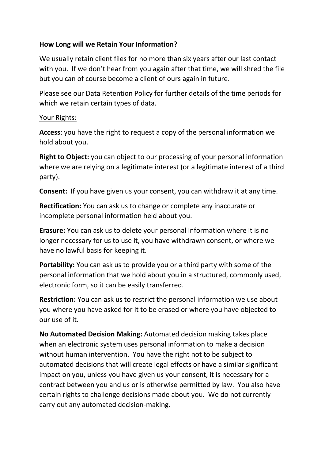### **How Long will we Retain Your Information?**

We usually retain client files for no more than six years after our last contact with you. If we don't hear from you again after that time, we will shred the file but you can of course become a client of ours again in future.

Please see our Data Retention Policy for further details of the time periods for which we retain certain types of data.

#### Your Rights:

**Access**: you have the right to request a copy of the personal information we hold about you.

**Right to Object:** you can object to our processing of your personal information where we are relying on a legitimate interest (or a legitimate interest of a third party).

**Consent:** If you have given us your consent, you can withdraw it at any time.

**Rectification:** You can ask us to change or complete any inaccurate or incomplete personal information held about you.

**Erasure:** You can ask us to delete your personal information where it is no longer necessary for us to use it, you have withdrawn consent, or where we have no lawful basis for keeping it.

**Portability:** You can ask us to provide you or a third party with some of the personal information that we hold about you in a structured, commonly used, electronic form, so it can be easily transferred.

**Restriction:** You can ask us to restrict the personal information we use about you where you have asked for it to be erased or where you have objected to our use of it.

**No Automated Decision Making:** Automated decision making takes place when an electronic system uses personal information to make a decision without human intervention. You have the right not to be subject to automated decisions that will create legal effects or have a similar significant impact on you, unless you have given us your consent, it is necessary for a contract between you and us or is otherwise permitted by law. You also have certain rights to challenge decisions made about you. We do not currently carry out any automated decision-making.